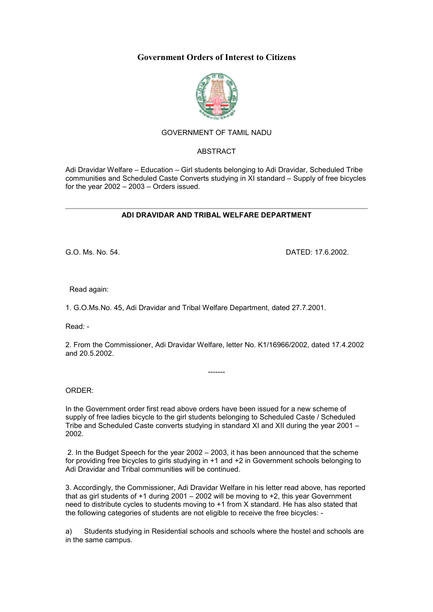# **Government Orders of Interest to Citizens**



## GOVERNMENT OF TAMIL NADU

#### ABSTRACT

Adi Dravidar Welfare – Education – Girl students belonging to Adi Dravidar, Scheduled Tribe communities and Scheduled Caste Converts studying in XI standard – Supply of free bicycles for the year 2002 – 2003 – Orders issued.

#### **ADI DRAVIDAR AND TRIBAL WELFARE DEPARTMENT**

G.O. Ms. No. 54. DATED: 17.6.2002.

Read again:

1. G.O.Ms.No. 45, Adi Dravidar and Tribal Welfare Department, dated 27.7.2001.

Read: -

2. From the Commissioner, Adi Dravidar Welfare, letter No. K1/16966/2002, dated 17.4.2002 and 20.5.2002.

-------

ORDER:

In the Government order first read above orders have been issued for a new scheme of supply of free ladies bicycle to the girl students belonging to Scheduled Caste / Scheduled Tribe and Scheduled Caste converts studying in standard XI and XII during the year 2001 – 2002.

 2. In the Budget Speech for the year 2002 – 2003, it has been announced that the scheme for providing free bicycles to girls studying in +1 and +2 in Government schools belonging to Adi Dravidar and Tribal communities will be continued.

3. Accordingly, the Commissioner, Adi Dravidar Welfare in his letter read above, has reported that as girl students of +1 during 2001 – 2002 will be moving to +2, this year Government need to distribute cycles to students moving to +1 from X standard. He has also stated that the following categories of students are not eligible to receive the free bicycles: -

a) Students studying in Residential schools and schools where the hostel and schools are in the same campus.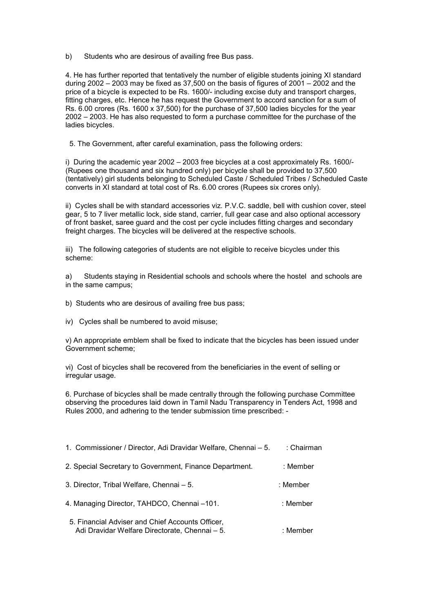b) Students who are desirous of availing free Bus pass.

4. He has further reported that tentatively the number of eligible students joining XI standard during 2002 – 2003 may be fixed as 37,500 on the basis of figures of 2001 – 2002 and the price of a bicycle is expected to be Rs. 1600/- including excise duty and transport charges, fitting charges, etc. Hence he has request the Government to accord sanction for a sum of Rs. 6.00 crores (Rs. 1600 x 37,500) for the purchase of 37,500 ladies bicycles for the year 2002 – 2003. He has also requested to form a purchase committee for the purchase of the ladies bicycles.

5. The Government, after careful examination, pass the following orders:

i) During the academic year 2002 – 2003 free bicycles at a cost approximately Rs. 1600/- (Rupees one thousand and six hundred only) per bicycle shall be provided to 37,500 (tentatively) girl students belonging to Scheduled Caste / Scheduled Tribes / Scheduled Caste converts in XI standard at total cost of Rs. 6.00 crores (Rupees six crores only).

ii) Cycles shall be with standard accessories viz. P.V.C. saddle, bell with cushion cover, steel gear, 5 to 7 liver metallic lock, side stand, carrier, full gear case and also optional accessory of front basket, saree guard and the cost per cycle includes fitting charges and secondary freight charges. The bicycles will be delivered at the respective schools.

iii) The following categories of students are not eligible to receive bicycles under this scheme:

a) Students staying in Residential schools and schools where the hostel and schools are in the same campus;

- b) Students who are desirous of availing free bus pass;
- iv) Cycles shall be numbered to avoid misuse;

v) An appropriate emblem shall be fixed to indicate that the bicycles has been issued under Government scheme;

vi) Cost of bicycles shall be recovered from the beneficiaries in the event of selling or irregular usage.

6. Purchase of bicycles shall be made centrally through the following purchase Committee observing the procedures laid down in Tamil Nadu Transparency in Tenders Act, 1998 and Rules 2000, and adhering to the tender submission time prescribed: -

| 1. Commissioner / Director, Adi Dravidar Welfare, Chennai - 5.                                     | : Chairman |
|----------------------------------------------------------------------------------------------------|------------|
| 2. Special Secretary to Government, Finance Department.                                            | : Member   |
| 3. Director, Tribal Welfare, Chennai – 5.                                                          | : Member   |
| 4. Managing Director, TAHDCO, Chennai -101.                                                        | : Member   |
| 5. Financial Adviser and Chief Accounts Officer,<br>Adi Dravidar Welfare Directorate, Chennai - 5. | : Member   |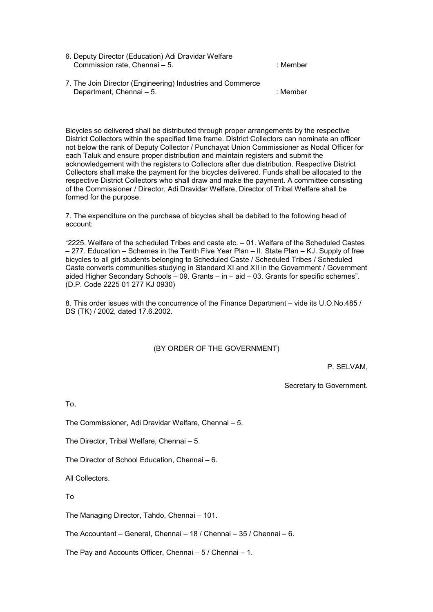- 6. Deputy Director (Education) Adi Dravidar Welfare Commission rate, Chennai – 5. : in the state of the state of the state of the state of the state of the state of the state of the state of the state of the state of the state of the state of the state of the state of the s
- 7. The Join Director (Engineering) Industries and Commerce Department, Chennai – 5. industrial and the state of the state of the state of the state of the state of the state of the state of the state of the state of the state of the state of the state of the state of the state of

Bicycles so delivered shall be distributed through proper arrangements by the respective District Collectors within the specified time frame. District Collectors can nominate an officer not below the rank of Deputy Collector / Punchayat Union Commissioner as Nodal Officer for each Taluk and ensure proper distribution and maintain registers and submit the acknowledgement with the registers to Collectors after due distribution. Respective District Collectors shall make the payment for the bicycles delivered. Funds shall be allocated to the respective District Collectors who shall draw and make the payment. A committee consisting of the Commissioner / Director, Adi Dravidar Welfare, Director of Tribal Welfare shall be formed for the purpose.

7. The expenditure on the purchase of bicycles shall be debited to the following head of account:

"2225. Welfare of the scheduled Tribes and caste etc. – 01. Welfare of the Scheduled Castes – 277. Education – Schemes in the Tenth Five Year Plan – II. State Plan – KJ. Supply of free bicycles to all girl students belonging to Scheduled Caste / Scheduled Tribes / Scheduled Caste converts communities studying in Standard XI and XII in the Government / Government aided Higher Secondary Schools – 09. Grants – in – aid – 03. Grants for specific schemes". (D.P. Code 2225 01 277 KJ 0930)

8. This order issues with the concurrence of the Finance Department – vide its U.O.No.485 / DS (TK) / 2002, dated 17.6.2002.

### (BY ORDER OF THE GOVERNMENT)

P. SELVAM,

Secretary to Government.

To,

The Commissioner, Adi Dravidar Welfare, Chennai – 5.

The Director, Tribal Welfare, Chennai – 5.

The Director of School Education, Chennai – 6.

All Collectors.

To

The Managing Director, Tahdo, Chennai – 101.

The Accountant – General, Chennai – 18 / Chennai – 35 / Chennai – 6.

The Pay and Accounts Officer, Chennai – 5 / Chennai – 1.